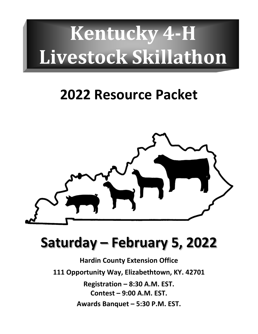# **Kentucky 4-H Livestock Skillathon**

## **2022 Resource Packet**



# **Saturday – February 5, 2022**

**Hardin County Extension Office 111 Opportunity Way, Elizabethtown, KY. 42701 Registration – 8:30 A.M. EST. Contest – 9:00 A.M. EST. Awards Banquet – 5:30 P.M. EST.**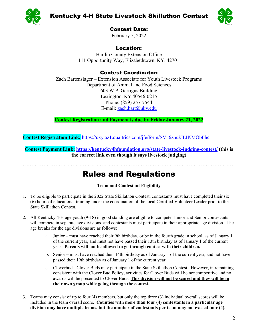

Kentucky 4-H State Livestock Skillathon Contest



Contest Date:

February 5, 2022

### Location:

Hardin County Extension Office 111 Opportunity Way, Elizabethtown, KY. 42701

### Contest Coordinator:

Zach Bartenslager – Extension Associate for Youth Livestock Programs Department of Animal and Food Sciences 603 W.P. Garrigus Building Lexington, KY 40546-0215 Phone: (859) 257-7544 E-mail: [zach.bart@uky.edu](mailto:zach.bart@uky.edu)

**Contest Registration and Payment is due by Friday January 21, 2022**

**Contest Registration Link:** [https://uky.az1.qualtrics.com/jfe/form/SV\\_6zhukILIKMObFhc](https://uky.az1.qualtrics.com/jfe/form/SV_6zhukILIKMObFhc)

**Contest Payment Link: <https://kentucky4hfoundation.org/state-livestock-judging-contest/> (this is the correct link even though it says livestock judging)**

### **~~~~~~~~~~~~~~~~~~~~~~~~~~~~~~~~~~~~~~~~~~~~~~~~~~~~~~~~~~~~~~~~~~~~~~~~~~~~~~~~~~~~~~~~** Rules and Regulations

#### **Team and Contestant Eligibility**

- 1. To be eligible to participate in the 2022 State Skillathon Contest, contestants must have completed their six (6) hours of educational training under the coordination of the local Certified Volunteer Leader prior to the State Skillathon Contest.
- 2. All Kentucky 4-H age youth (9-18) in good standing are eligible to compete. Junior and Senior contestants will compete in separate age divisions, and contestants must participate in their appropriate age division. The age breaks for the age divisions are as follows:
	- a. Junior must have reached their 9th birthday, or be in the fourth grade in school, as of January 1 of the current year, and must not have passed their 13th birthday as of January 1 of the current year. **Parents will not be allowed to go through contest with their children.**
	- b. Senior must have reached their 14th birthday as of January 1 of the current year, and not have passed their 19th birthday as of January 1 of the current year.
	- c. Cloverbud Clover Buds may participate in the State Skillathon Contest. However, in remaining consistent with the Clover Bud Policy, activities for Clover Buds will be noncompetitive and no awards will be presented to Clover Buds. **This division will not be scored and they will be in their own group while going through the contest.**
- 3. Teams may consist of up to four (4) members, but only the top three (3) individual overall scores will be included in the team overall score. **Counties with more than four (4) contestants in a particular age division may have multiple teams, but the number of contestants per team may not exceed four (4).**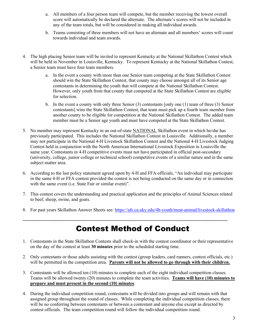- a. All members of a four person team will compete, but the member receiving the lowest overall score will automatically be declared the alternate. The alternate's scores will not be included in any of the team totals, but will be considered in making all individual awards.
- b. Teams consisting of three members will not have an alternate and all members' scores will count towards individual and team awards.
- 4. The high placing Senior team will be invited to represent Kentucky at the National Skillathon Contest which will be held in November in Louisville, Kentucky. To represent Kentucky at the National Skillathon Contest, a Senior team must have four team members.
	- a. In the event a county with more than one Senior team competing at the State Skillathon Contest should win the State Skillathon Contest, that county may choose amongst all of its Senior age contestants in determining the youth that will compete at the National Skillathon Contest. However, only youth from that county that competed at the State Skillathon Contest are eligible for selection.
	- b. In the event a county with only three Senior (3) contestants [only one (1) team of three (3) Senior contestants] wins the State Skillathon Contest, that team must pick up a fourth team member from another county to be eligible for competition at the National Skillathon Contest. The added team member must be a Senior age youth and must have competed at the State Skillathon Contest.
- 5. No member may represent Kentucky in an out-of-state NATIONAL Skillathon event in which he/she has previously participated. This includes the National Skillathon Contest in Louisville. Additionally, a member may not participate in the National 4-H Livestock Skillathon Contest and the National 4-H Livestock Judging Contest held in conjunction with the North American International Livestock Exposition in Louisville the same year. Contestants in 4-H competitive events must not have participated in official post-secondary (university, college, junior college or technical school) competitive events of a similar nature and in the same subject matter area.
- 6. According to the last policy statement agreed upon by 4-H and FFA officials, "An individual may participate in the same 4-H or FFA contest provided the contest is not being conducted on the same day or in connection with the same event (i.e. State Fair or similar event)".
- 7. This contest covers the understanding and practical application and the principles of Animal Sciences related to beef, sheep, swine, and goats.
- 8. For past years Skillathon Answer Sheets see[: https://afs.ca.uky.edu/4h-youth/meat-animal/livestock-skillathon](https://afs.ca.uky.edu/4h-youth/meat-animal/livestock-skillathon)

**~~~~~~~~~~~~~~~~~~~~~~~~~~~~~~~~~~~~~~~~~~~~~~~~~~~~~~~~~~~~~~~~~~~~~~~~~~~~~~~~~~~~~**

### Contest Method of Conduct

- 1. Contestants in the State Skillathon Contests shall check-in with the contest coordinator or their representative on the day of the contest at least **30 minutes** prior to the scheduled starting time.
- 2. Only contestants or those adults assisting with the contest (group leaders, card runners, contest officials, etc.) will be permitted in the competition area. **Parents will not be allowed to go through with their children.**
- 3. Contestants will be allowed ten (10) minutes to complete each of the eight individual competition classes. Teams will be allowed twenty (20) minutes to complete the team activities. **Teams will have (10) minutes to prepare and must present in the second (10) minutes**.
- 4. During the individual competition round, contestants will be divided into groups and will remain with that assigned group throughout the round of classes. While completing the individual competition classes, there will be no conferring between contestants or between a contestant and anyone else except as directed by contest officials. The team competition round will follow the individual competition round.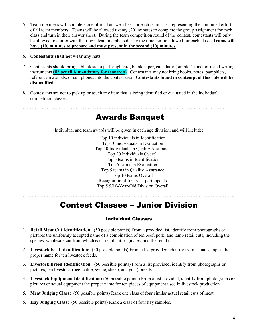- 5. Team members will complete one official answer sheet for each team class representing the combined effort of all team members. Teams will be allowed twenty (20) minutes to complete the group assignment for each class and turn in their answer sheet. During the team competition round of the contest, contestants will only be allowed to confer with their own team members during the time period allowed for each class. **Teams will have (10) minutes to prepare and must present in the second (10) minutes.**
- 6. **Contestants shall not wear any hats.**
- 7. Contestants should bring a blank steno pad, clipboard, blank paper, calculator (simple 4 function), and writing instruments **(#2 pencil is mandatory for scantron**). Contestants may not bring books, notes, pamphlets, reference materials, or cell phones into the contest area. **Contestants found in contempt of this rule will be disqualified.**
- 8. Contestants are not to pick up or touch any item that is being identified or evaluated in the individual competition classes.

**~~~~~~~~~~~~~~~~~~~~~~~~~~~~~~~~~~~~~~~~~~~~~~~~~~~~~~~~~~~~~~~~~~~~~~~~~~~~~~~~~~~~**

### Awards Banquet

Individual and team awards will be given in each age division, and will include:

Top 10 individuals in Identification Top 10 individuals in Evaluation Top 10 Individuals in Quality Assurance Top 20 Individuals Overall Top 5 teams in Identification Top 5 teams in Evaluation Top 5 teams in Quality Assurance Top 10 teams Overall Recognition of first year participants Top 5 9/10-Year-Old Division Overall

### **~~~~~~~~~~~~~~~~~~~~~~~~~~~~~~~~~~~~~~~~~~~~~~~~~~~~~~~~~~~~~~~~~~~~~~~~~~~~~~~~~~~~~~~~** Contest Classes – Junior Division

#### Individual Classes

- 1. **Retail Meat Cut Identification**: (50 possible points) From a provided list, identify from photographs or pictures the uniformly accepted name of a combination of ten beef, pork, and lamb retail cuts, including the species, wholesale cut from which each retail cut originates, and the retail cut.
- 2. **Livestock Feed Identification:** (50 possible points) From a list provided, identify from actual samples the proper name for ten livestock feeds.
- 3. **Livestock Breed Identification:** (50 possible points) From a list provided, identify from photographs or pictures, ten livestock (beef cattle, swine, sheep, and goat) breeds.
- 4. **Livestock Equipment Identification:** (50 possible points) From a list provided, identify from photographs or pictures or actual equipment the proper name for ten pieces of equipment used in livestock production.
- 5. **Meat Judging Class:** (50 possible points) Rank one class of four similar actual retail cuts of meat.
- 6. **Hay Judging Class:** (50 possible points) Rank a class of four hay samples.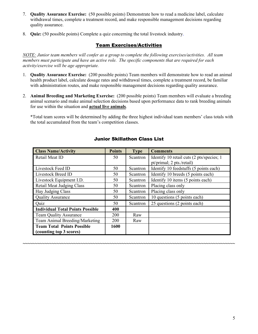- 7. **Quality Assurance Exercise:** (50 possible points) Demonstrate how to read a medicine label, calculate withdrawal times, complete a treatment record, and make responsible management decisions regarding quality assurance.
- 8. **Quiz:** (50 possible points) Complete a quiz concerning the total livestock industry.

#### Team Exercises/Activities

*NOTE: Junior team members will confer as a group to complete the following exercises/activities. All team members must participate and have an active role. The specific components that are required for each activity/exercise will be age appropriate.*

- 1. **Quality Assurance Exercise:** (200 possible points) Team members will demonstrate how to read an animal health product label, calculate dosage rates and withdrawal times, complete a treatment record, be familiar with administration routes, and make responsible management decisions regarding quality assurance.
- 2. **Animal Breeding and Marketing Exercise:** (200 possible points) Team members will evaluate a breeding animal scenario and make animal selection decisions based upon performance data to rank breeding animals for use within the situation and **actual live animals**.

\*Total team scores will be determined by adding the three highest individual team members' class totals with the total accumulated from the team's competition classes.

| <b>Class Name/Activity</b>              | <b>Points</b> | <b>Type</b> | <b>Comments</b>                           |
|-----------------------------------------|---------------|-------------|-------------------------------------------|
| Retail Meat ID                          | 50            | Scantron    | Identify 10 retail cuts (2 pts/species; 1 |
|                                         |               |             | pt/primal; 2 pts./retail)                 |
| Livestock Feed ID                       | 50            | Scantron    | Identify 10 feedstuffs (5 points each)    |
| Livestock Breed ID                      | 50            | Scantron    | Identify 10 breeds (5 points each)        |
| Livestock Equipment I.D.                | 50            | Scantron    | Identify 10 items (5 points each)         |
| <b>Retail Meat Judging Class</b>        | 50            | Scantron    | Placing class only                        |
| Hay Judging Class                       | 50            | Scantron    | Placing class only                        |
| <b>Quality Assurance</b>                | 50            | Scantron    | 10 questions (5 points each)              |
| Quiz                                    | 50            | Scantron    | 25 questions (2 points each)              |
| <b>Individual Total Points Possible</b> | 400           |             |                                           |
| <b>Team Quality Assurance</b>           | 200           | Raw         |                                           |
| Team Animal Breeding/Marketing          | <b>200</b>    | Raw         |                                           |
| <b>Team Total Points Possible</b>       | 1600          |             |                                           |
| (counting top 3 scores)                 |               |             |                                           |

**~~~~~~~~~~~~~~~~~~~~~~~~~~~~~~~~~~~~~~~~~~~~~~~~~~~~~~~~~~~~~~~~~~~~~~~~~~~~~~~~~~~~~~~~**

#### Junior Skillathon Class List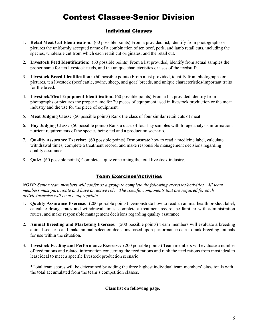### Contest Classes-Senior Division

#### Individual Classes

- 1. **Retail Meat Cut Identification**: (60 possible points) From a provided list, identify from photographs or pictures the uniformly accepted name of a combination of ten beef, pork, and lamb retail cuts, including the species, wholesale cut from which each retail cut originates, and the retail cut.
- 2. **Livestock Feed Identification:** (60 possible points) From a list provided, identify from actual samples the proper name for ten livestock feeds, and the unique characteristics or uses of the feedstuff.
- 3. **Livestock Breed Identification:** (60 possible points) From a list provided, identify from photographs or pictures, ten livestock (beef cattle, swine, sheep, and goat) breeds, and unique characteristics/important traits for the breed.
- 4. **Livestock/Meat Equipment Identification:** (60 possible points) From a list provided identify from photographs or pictures the proper name for 20 pieces of equipment used in livestock production or the meat industry and the use for the piece of equipment.
- 5. **Meat Judging Class:** (50 possible points) Rank the class of four similar retail cuts of meat.
- 6. **Hay Judging Class:** (50 possible points) Rank a class of four hay samples with forage analysis information, nutrient requirements of the species being fed and a production scenario.
- 7. **Quality Assurance Exercise:** (60 possible points) Demonstrate how to read a medicine label, calculate withdrawal times, complete a treatment record, and make responsible management decisions regarding quality assurance.
- 8. **Quiz:** (60 possible points) Complete a quiz concerning the total livestock industry.

#### Team Exercises/Activities

*NOTE: Senior team members will confer as a group to complete the following exercises/activities. All team members must participate and have an active role. The specific components that are required for each activity/exercise will be age appropriate.*

- 1. **Quality Assurance Exercise:** (200 possible points) Demonstrate how to read an animal health product label, calculate dosage rates and withdrawal times, complete a treatment record, be familiar with administration routes, and make responsible management decisions regarding quality assurance.
- 2. **Animal Breeding and Marketing Exercise:** (200 possible points) Team members will evaluate a breeding animal scenario and make animal selection decisions based upon performance data to rank breeding animals for use within the situation.
- 3. **Livestock Feeding and Performance Exercise:** (200 possible points) Team members will evaluate a number of feed rations and related information concerning the feed rations and rank the feed rations from most ideal to least ideal to meet a specific livestock production scenario.

\*Total team scores will be determined by adding the three highest individual team members' class totals with the total accumulated from the team's competition classes.

#### **Class list on following page.**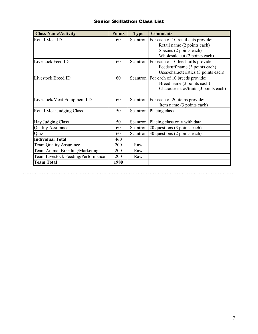#### Senior Skillathon Class List

| <b>Class Name/Activity</b>         | <b>Points</b> | <b>Type</b> | <b>Comments</b>                              |
|------------------------------------|---------------|-------------|----------------------------------------------|
| Retail Meat ID                     | 60            |             | Scantron For each of 10 retail cuts provide: |
|                                    |               |             | Retail name (2 points each)                  |
|                                    |               |             | Species (2 points each)                      |
|                                    |               |             | Wholesale cut (2 points each)                |
| Livestock Feed ID                  | 60            |             | Scantron For each of 10 feedstuffs provide:  |
|                                    |               |             | Feedstuff name (3 points each)               |
|                                    |               |             | Uses/characteristics (3 points each)         |
| Livestock Breed ID                 | 60            |             | Scantron For each of 10 breeds provide:      |
|                                    |               |             | Breed name (3 points each)                   |
|                                    |               |             | Characteristics/traits (3 points each)       |
|                                    |               |             |                                              |
| Livestock/Meat Equipment I.D.      | 60            |             | Scantron For each of 20 items provide:       |
|                                    |               |             | Item name (3 points each)                    |
| Retail Meat Judging Class          | 50            |             | Scantron Placing class                       |
| Hay Judging Class                  | 50            |             | Scantron   Placing class only with data      |
| <b>Quality Assurance</b>           | 60            |             | Scantron 20 questions (3 points each)        |
| Quiz                               | 60            |             | Scantron 30 questions (2 points each)        |
| <b>Individual Total</b>            | 460           |             |                                              |
| Team Quality Assurance             | 200           | Raw         |                                              |
| Team Animal Breeding/Marketing     | 200           | Raw         |                                              |
| Team Livestock Feeding/Performance | 200           | Raw         |                                              |
| <b>Team Total</b>                  | 1980          |             |                                              |

**~~~~~~~~~~~~~~~~~~~~~~~~~~~~~~~~~~~~~~~~~~~~~~~~~~~~~~~~~~~~~~~~~~~~~~~~~~~~~~~~~~~~~~~~**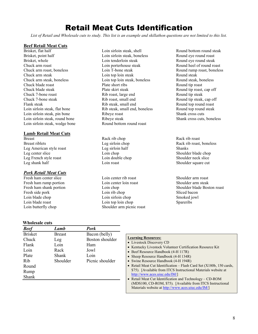### Retail Meat Cuts Identification

*List of Retail and Wholesale cuts to study. This list is an example and skillathon questions are not limited to this list.*

#### **Beef Retail Meat Cuts**

Brisket, flat half Brisket, point half Brisket, whole Chuck arm roast Chuck arm roast, boneless Chuck arm steak Chuck arm steak, boneless Chuck blade roast Chuck blade steak Chuck 7-bone roast Chuck 7-bone steak Flank steak Loin sirloin steak, flat bone Loin sirloin steak, pin bone Loin sirloin steak, round bone Loin sirloin steak, wedge bone

#### **Lamb Retail Meat Cuts**

Breast Breast riblets Leg American style roast Leg center slice Leg French style roast Leg shank half

#### *Pork Retail Meat Cuts*

Fresh ham center slice Fresh ham rump portion Fresh ham shank portion Fresh side pork Loin blade chop Loin blade roast Loin butterfly chop

#### **Wholesale cuts**

Loin sirloin steak, shell Loin sirloin steak, boneless Loin tenderloin steak Loin porterhouse steak Loin T-bone steak Loin top loin steak Loin top loin steak, boneless Plate short ribs Plate skirt steak Rib roast, large end Rib roast, small end Rib steak, small end Rib steak, small end, boneless Ribeye roast Ribeye steak Round bottom round roast

Rack rib chop Leg sirloin chop Leg sirloin half Loin chop Loin double chop Loin roast

Loin center rib roast Loin center loin roast Loin chop Loin rib chop Loin sirloin chop Loin top loin chop Shoulder arm picnic roast Round bottom round steak Round eye round roast Round eye round steak Round heel of round roast Round rump roast, boneless Round steak Round steak, boneless Round tip roast Round tip roast, cap off Round tip steak Round tip steak, cap off Round top round roast Round top round steak Shank cross cuts Shank cross cuts, boneless

Rack rib roast Rack rib roast, boneless Shanks Shoulder blade chop Shoulder neck slice Shoulder square cut

Shoulder arm roast Shoulder arm steak Shoulder blade Boston roast Sliced bacon Smoked jowl Spareribs

| <b>Beef</b>    | Lamb          | <b>Pork</b>     |                                              |
|----------------|---------------|-----------------|----------------------------------------------|
| <b>Brisket</b> | <b>Breast</b> | Bacon (belly)   |                                              |
| Chuck          | Leg           | Boston shoulder | <b>Learning Resoure</b><br>• Livestock Disco |
| Flank          | Loin          | Ham             | • Kentucky Lives                             |
| Loin           | Rack          | Jowl            | • Beef Resource I                            |
| Plate          | Shank         | Loin            | • Sheep Resource                             |
| Rib            | Shoulder      | Picnic shoulder | • Swine Resource                             |
| Round          |               |                 | • Retail Meat Cut                            |
| Rump           |               |                 | \$75). [Availabl]                            |
| Shank          |               |                 | http://www.aces<br>• Retail Meat Cut         |
|                |               |                 |                                              |

#### res:

- very CD
- tock Volunteer Certification Resource Kit
- Handbook (4-H 117R)
- Handbook (4-H 134R)
- Handbook (4-H 194R)
- $Id$ entification Flash Card Set (X180b, 150 cards, e from ITCS Instructional Materials website at .uiuc.edu/IM/]
- Identification and Technology CD-ROM (MDS100, CD-ROM, \$75). [Available from ITCS Instructional Materials website at [http://www.aces.uiuc.edu/IM/\]](http://www.aces.uiuc.edu/IM/)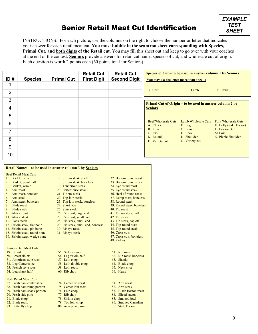### Senior Retail Meat Cut Identification



INSTRUCTIONS: For each picture, use the columns on the right to choose the number or letter that indicates your answer for each retail meat cut. **You must bubble in the scantron sheet corresponding with Species, Primal Cut, and both digits of the Retail cut**. You may fill this sheet out and keep to go over with your coaches at the end of the contest. **Seniors** provide answers for retail cut name, species of cut, and wholesale cut of origin. Each question is worth 2 points each (60 points total for Seniors).

| ID#            | <b>Species</b> | <b>Primal Cut</b> | <b>Retail Cut</b><br><b>First Digit</b> | <b>Retail Cut</b><br><b>Second Digit</b> | Species of Cut – to be used in answer column 1 by Seniors<br>(You may use the letter more than once!!) |                                                         |                                                      |
|----------------|----------------|-------------------|-----------------------------------------|------------------------------------------|--------------------------------------------------------------------------------------------------------|---------------------------------------------------------|------------------------------------------------------|
| 1              |                |                   |                                         |                                          |                                                                                                        |                                                         |                                                      |
| $\overline{2}$ |                |                   |                                         |                                          | B. Beef                                                                                                | L. Lamb                                                 | P. Pork                                              |
| 3              |                |                   |                                         |                                          |                                                                                                        | Primal Cut of Origin – to be used in answer column 2 by |                                                      |
| 4              |                |                   |                                         |                                          | <b>Seniors</b>                                                                                         |                                                         |                                                      |
| 5              |                |                   |                                         |                                          |                                                                                                        |                                                         |                                                      |
| 6              |                |                   |                                         |                                          | <b>Beef Wholesale Cuts</b><br>A. Chuck                                                                 | Lamb Wholesale Cuts<br>F. Leg                           | <b>Pork Wholesale Cuts</b><br>K. Belly (Side, Bacon) |
| 7              |                |                   |                                         |                                          | B. Loin<br>C. Rib                                                                                      | G. Loin<br>H. Rack                                      | L. Boston Butt<br>M. Loin                            |
| 8              |                |                   |                                         |                                          | D. Round<br>E. Variety cut                                                                             | I. Shoulder<br>J. Variety cut                           | N. Picnic Shoulder                                   |
| 9              |                |                   |                                         |                                          |                                                                                                        |                                                         |                                                      |
| 10             |                |                   |                                         |                                          |                                                                                                        |                                                         |                                                      |

| Retail Names – to be used in answer column 3 by Seniors |                                    |                           |  |  |  |  |
|---------------------------------------------------------|------------------------------------|---------------------------|--|--|--|--|
| <b>Beef Retail Meat Cuts</b>                            |                                    |                           |  |  |  |  |
| Beef for stew<br>$\mathbf{1}$ .                         | 17. Sirloin steak, shell           | 32. Bottom round roast    |  |  |  |  |
| 2. Brisket, point half                                  | 18. Sirloin steak, boneless        | 33. Bottom round steak    |  |  |  |  |
| 3. Brisket, whole                                       | 19. Tenderloin steak               | 34. Eye round roast       |  |  |  |  |
| 4. Arm roast                                            | 20. Porterhouse steak              | 35. Eye round steak       |  |  |  |  |
| 5. Arm roast, boneless                                  | 21. T-bone steak                   | 36. Heel of round roast   |  |  |  |  |
| 6. Arm steak                                            | 22. Top loin steak                 | 37. Rump roast, boneless  |  |  |  |  |
| 7. Arm steak, boneless                                  | 23. Top loin steak, boneless       | 38. Round steak           |  |  |  |  |
| 8. Blade roast                                          | 24. Short ribs                     | 39. Round steak, boneless |  |  |  |  |
| 9. Blade steak                                          | 25. Skirt steak                    | 40. Tip roast             |  |  |  |  |
| 10. 7-bone roast                                        | 26. Rib roast, large end           | 41. Tip roast, cap off    |  |  |  |  |
| 11. 7-bone steak                                        | 27. Rib roast, small end           | 42. Tip steak             |  |  |  |  |
| 12. Flank steak                                         | 28. Rib steak, small end           | 43. Tip steak, cap off    |  |  |  |  |
| 13. Sirloin steak, flat bone                            | 29. Rib steak, small end, boneless | 44. Top round roast       |  |  |  |  |
| 14. Sirloin steak, pin bone                             | 30. Ribeye roast                   | 45. Top round steak       |  |  |  |  |
| 15. Sirloin steak, round bone                           | 31. Ribeye steak                   | 46. Cross cuts            |  |  |  |  |
| 16. Sirloin steak, wedge bone                           |                                    | 47. Cross cuts, boneless  |  |  |  |  |
|                                                         |                                    | 48. Kidney                |  |  |  |  |
| <b>Lamb Retail Meat Cuts</b>                            |                                    |                           |  |  |  |  |
| 49. Breast                                              | 55. Sirloin chop                   | 61. Rib roast             |  |  |  |  |
| 50. Breast riblets                                      | 56. Leg sirloin half               | 62. Rib roast, boneless   |  |  |  |  |
| 51. American style roast                                | 57. Loin chop                      | 63. Shanks                |  |  |  |  |
| 52. Leg Center slice                                    | 58. Loin double chop               | 64. Blade chop            |  |  |  |  |
| 53. French style roast                                  | 59. Loin roast                     | 65. Neck slice            |  |  |  |  |
| 54. Leg shank half                                      | 60. Rib chop                       | 66. Heart                 |  |  |  |  |
| <b>Pork Retail Meat Cuts</b>                            |                                    |                           |  |  |  |  |
| 67. Fresh ham center slice                              | 74. Center rib roast               | 81. Arm roast             |  |  |  |  |
| 68. Fresh ham rump portion                              | 75. Center loin roast              | 82. Arm steak             |  |  |  |  |
| 69. Fresh ham shank portion                             | 76. Loin chop                      | 83. Blade Boston roast    |  |  |  |  |
| 70. Fresh side pork                                     | 77. Rib chop                       | 84. Sliced bacon          |  |  |  |  |
| 71. Blade chop                                          | 78. Sirloin chop                   | 85. Smoked jowl           |  |  |  |  |
| 72. Blade roast                                         | 79. Top loin chop                  | 86. Smoked Canadian       |  |  |  |  |
| 73. Butterfly chop                                      | 80. Arm picnic roast               | <b>Style Bacon</b>        |  |  |  |  |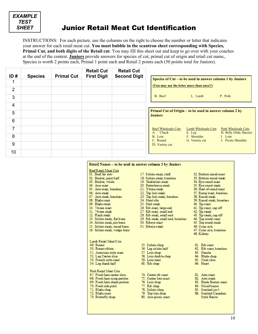

### Junior Retail Meat Cut Identification

INSTRUCTIONS: For each picture, use the columns on the right to choose the number or letter that indicates your answer for each retail meat cut. **You must bubble in the scantron sheet corresponding with Species, Primal Cut, and both digits of the Retail cut**. You may fill this sheet out and keep to go over with your coaches at the end of the contest. **Juniors** provide answers for species of cut, primal cut of origin and retail cut name,. Species is worth 2 points each, Primal 1 point each and Retail 2 points each (50 points total for Juniors).

| ID#            | <b>Species</b> | <b>Primal Cut</b> | <b>Retail Cut</b><br><b>First Digit</b> | <b>Retail Cut</b><br><b>Second Digit</b> |                                                                                                                                 |
|----------------|----------------|-------------------|-----------------------------------------|------------------------------------------|---------------------------------------------------------------------------------------------------------------------------------|
| 1              |                |                   |                                         |                                          | Species of Cut – to be used in answer column 1 by Juniors<br>(You may use the letter more than once!!)                          |
| $\overline{2}$ |                |                   |                                         |                                          |                                                                                                                                 |
| 3              |                |                   |                                         |                                          | P. Pork<br>B. Beef<br>L. Lamb                                                                                                   |
| 4              |                |                   |                                         |                                          |                                                                                                                                 |
| 5              |                |                   |                                         |                                          | Primal Cut of Origin – to be used in answer column 2 by<br><b>Juniors</b>                                                       |
| 6              |                |                   |                                         |                                          |                                                                                                                                 |
| 7              |                |                   |                                         |                                          | <b>Beef Wholesale Cuts</b><br>Lamb Wholesale Cuts<br><b>Pork Wholesale Cuts</b><br>A. Chuck<br>H. Belly (Side, Bacon)<br>E. Leg |
| 8              |                |                   |                                         |                                          | B. Loin<br>F. Shoulder<br>I. Loin<br>J. Picnic Shoulder<br>G. Variety cut<br>C. Round                                           |
| 9              |                |                   |                                         |                                          | D. Variety cut                                                                                                                  |
| 10             |                |                   |                                         |                                          |                                                                                                                                 |

| Beef Retail Meat Cuts         |                                    |                           |
|-------------------------------|------------------------------------|---------------------------|
| 01. Beef for stew             | 17. Sirloin steak, shell           | 32. Bottom round roast    |
| 02. Brisket, point half       | 18. Sinoin steak, boneless         | 33. Bottom round steak    |
| 03. Brisket, whole            | 19. Tenderloin steak               | 34. Eye round roast       |
| 04. Arm roast                 | 20. Porterhouse steak              | 35. Eye round steak       |
| 05. Arm roast, boneless       | 21. T-bone steak                   | 36. Heel of round roast   |
| 06. Arm steak                 | 22. Top loin steak                 | 37. Rump roast, boneless  |
| 07. Arm steak, boneless       | 23. Top loin steak, boneless       | 38. Round steak           |
| 08. Blade roast               | 24. Short ribs                     | 39. Round steak, boneless |
| 09 Blade steak                | 25 Skirt steak                     | 40. Tip roast             |
| 10. 7-bone roast              | 26. Rib roast, large end           | 41. Tip roast, eap off    |
| 11. 7-bone steak              | 27. Rib roast, small end           | 42. Tip steak             |
| 12. Flank steak               | 28. Rib steak, small end           | 43. Tip steak, cap off    |
| 13. Sirloin steak, flat bone  | 29. Rib steak, small end, boneless | 44. Top round roast       |
| 14. Sirloin steak, pin bone   | 30. Ribeye roast                   | 45. Top round steak       |
| 15. Sirloin steak, round bone | 31. Ribeve steak                   | 46. Cross cuts            |
| 16. Sirloin steak, wedge bone |                                    | 47. Cross cuts, boneless  |
|                               |                                    | 48. Kidney                |
| Lamb Retail Meat Cuts         |                                    |                           |
| 49. Breast                    | 55. Sidoin chop                    | 61. Rib roast             |
| 50. Breast riblets            | 56. Leg sirloin half               | 62. Rib roast, boneless   |
| 51. American style roast      | 57. Loin chop                      | 63. Shanks                |
| 52. Leg Center slice          | 58. Loin double chop               | 64. Blade chop            |
| 53. French style roast        | 59. Loin roast                     | 65. Neck slice            |
| 54. Leg shank half            | 60. Rib chop                       | 66. Heart                 |
| Pork Retail Meat Cuts         |                                    |                           |
| 67. Fresh ham center slice    | 74. Center rib roast               | 81. Arm roast             |
| 68. Fresh ham rump portion    | 75. Center loin roast              | 82. Arm steak             |
| 69. Fresh ham shank portion   | 76. Loin chop                      | 83. Blade Boston roast    |
| 70. Fresh side pork           | 77. Rib chop                       | 84. Sliced bacon          |
| 71. Blade choo                | 78. Sinoin chop                    | 85. Smoked jow1           |
| 72. Blade roast               | 79. Top loin chop                  | 86. Smoked Canadian       |
| 73. Butterfly chop            | 80. Arm picnic roast               | Style Bacon               |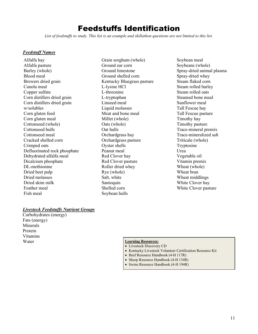### Feedstuffs Identification

*List of feedstuffs to study. This list is an example and skillathon questions are not limited to this list.*

#### *Feedstuff Names*

Alfalfa hay Alfalfa pasture Barley (whole) Blood meal Brewers dried grain Canola meal Copper sulfate Corn distillers dried grain Corn distillers dried grain w/solubles Corn gluten feed Corn gluten meal Cottonseed (whole) Cottonseed hulls Cottonseed meal Cracked shelled corn Crimped oats Defluorinated rock phosphate Dehydrated alfalfa meal Dicalcium phosphate DL-methionine Dried beet pulp Dried molasses Dried skim milk Feather meal Fish meal

Grain sorghum (whole) Ground ear corn Ground limestone Ground shelled corn Kentucky Bluegrass pasture L-lysine HCl L-threonine L-tryptophan Linseed meal Liquid molasses Meat and bone meal Millet (whole) Oats (whole) Oat hulls Orchardgrass hay Orchardgrass pasture Oyster shells Peanut meal Red Clover hay Red Clover pasture Roller dried whey Rye (whole) Salt, white Santoquin Shelled corn Soybean hulls

Soybean meal Soybeans (whole) Spray-dried animal plasma Spray-dried whey Steam flaked corn Steam rolled barley Steam rolled oats Steamed bone meal Sunflower meal Tall Fescue hay Tall Fescue pasture Timothy hay Timothy pasture Trace-mineral premix Trace-mineralized salt Triticale (whole) Tryptosine Urea Vegetable oil Vitamin premix Wheat (whole) Wheat bran Wheat middlings White Clover hay White Clover pasture

#### *Livestock Feedstuffs Nutrient Groups*

Carbohydrates (energy) Fats (energy) Minerals Protein Vitamins Water **Learning Resources:**

- Livestock Discovery CD
- Kentucky Livestock Volunteer Certification Resource Kit
- Beef Resource Handbook (4-H 117R)
- Sheep Resource Handbook (4-H 134R)
- Swine Resource Handbook (4-H 194R)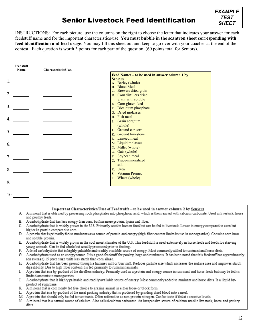### Senior Livestock Feed Identification



INSTRUCTIONS: For each picture, use the columns on the right to choose the letter that indicates your answer for each feedstuff name and for the important characteristics/use. **You must bubble in the scantron sheet corresponding with feed identification and feed usage**. You may fill this sheet out and keep to go over with your coaches at the end of the contest. Each question is worth 3 points for each part of the question. (60 points total for Seniors).

| Feedstuff<br>Name | <b>Characteristic/Uses</b> |                                                                     |
|-------------------|----------------------------|---------------------------------------------------------------------|
|                   |                            | Feed Names – to be used in answer column 1 by                       |
| 1.                |                            | <b>Seniors</b><br>A. Barley (whole)<br><b>B.</b> Blood Meal         |
| 2.                |                            | C. Brewers dried grain<br>D. Corn distillers dried                  |
| 3.                |                            | grain with soluble<br>E. Corn gluten feed<br>F. Dicalcium phosphate |
| 4.                |                            | G. Dried molasses<br>H. Fish meal<br>I. Grain sorghum               |
| 5.                |                            | (whole)<br>Ground ear corn<br>J <sub>z</sub><br>K. Ground limestone |
| 6.                |                            | L. Linseed meal<br>M. Liquid molasses<br>N. Millet (whole)          |
| 7.                |                            | O. Oats (whole)<br>P. Soybean meal<br>Q. Trace-mineralized          |
| 8.                |                            | salt<br>R. Urea                                                     |
| 9.                |                            | Vitamin Premix<br>S.<br>T. Wheat (whole)                            |
| 10.               |                            |                                                                     |

Important Characteristics/Uses of Feedstuffs - to be used in answer column 2 by Seniors

- A Amineral that is obtained by processing rock phosphates into phosphoric acid, which is then reacted with calcium carbonate. Used in livestock, horse and poultry feeds.
- B. A carbohydrate that has less energy than corn, but has more protein, lysine and fiber.
- C. A carbohydrate that is widely grown in the U.S. Primarily used in human food but can be fed to livestock. Lower in energy compared to corn but higher in protein compared to corn.
- D. A protein that is primarily fed to ruminants as a source of protein and energy (high fiber content limits its use in monogastrics). Contains corn bran and soluble protein.
- E. A carbohydrate that is widely grown in the cool moist climates of the U.S. This feed stuff is used extensively in horse feeds and feeds for starving young animals. Can be fed whole but usually processed prior to feeding.
- F. A dried carbohydrate that is highly palatable and readily available source of energy. Most commonly added to ruminant and horse diets.
- G. A carbohydrate used as an energy source. It is a good feedstuff for poultry, hogs and ruminants. It has been noted that this feedstuff has approximately (on average) 15 percentage units less starch than corn silage.
- H A carbohydrate that has been ground through a hammer mill or burr mill. Reduces particle size which increases the surface area and improves starch digestibility. Due to high fiber content it is fed primarily to ruminant animals.
- I. A protein that is a by-product of the distillers industry. Primarily used as a protein and energy source in ruminant and horse feeds but may be fed in limited amounts to monogastrics.
- A carbohydrate that is highly palatable and readily available source of energy. Most commonly added to ruminant and horse diets. Is a liquid by-J. product of sugarcane.
- K. A mineral that is commonly fed free choice to grazing animal in either loose or block form.
- L. A protein that is a by-product of the meat packing industry that is produced by grinding dried blood into a meal.
- M A protein that should only be fed to ruminants. Often referred to as non-protein nitrogen. Can be toxic if fed at excessive levels.
- N A mineral that is a natural source of calcium. Also called calcium carbonate. An inexpensive source of calcium used in livestock, horse and poultry diets.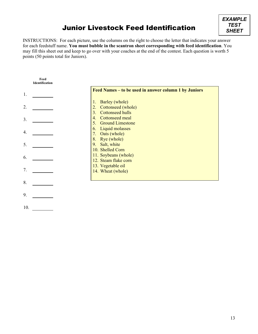### Junior Livestock Feed Identification



INSTRUCTIONS: For each picture, use the columns on the right to choose the letter that indicates your answer for each feedstuff name. **You must bubble in the scantron sheet corresponding with feed identification**. You may fill this sheet out and keep to go over with your coaches at the end of the contest. Each question is worth 5 points (50 points total for Juniors).

|     | Feed<br><b>Identification</b> |                                                                                         |
|-----|-------------------------------|-----------------------------------------------------------------------------------------|
| 1.  |                               | Feed Names – to be used in answer column 1 by Juniors                                   |
| 2.  |                               | Barley (whole)<br>1.<br>Cottonseed (whole)<br>2.<br><b>Cottonseed hulls</b><br>3.       |
| 3.  |                               | <b>Cottonseed meal</b><br>$\overline{4}$ .<br><b>Ground Limestone</b><br>5 <sub>1</sub> |
| 4.  |                               | Liquid molasses<br>6.<br>Oats (whole)<br>7.                                             |
| 5.  |                               | Rye (whole)<br>8.<br>Salt, white<br>9.<br>10. Shelled Corn                              |
| 6.  |                               | 11. Soybeans (whole)<br>12. Steam flake corn                                            |
| 7.  |                               | 13. Vegetable oil<br>14. Wheat (whole)                                                  |
| 8.  |                               |                                                                                         |
| 9.  |                               |                                                                                         |
| 10. |                               |                                                                                         |

13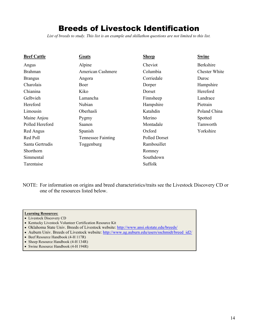### Breeds of Livestock Identification

*List of breeds to study. This list is an example and skillathon questions are not limited to this list.*

| <b>Beef Cattle</b> | Goats                     | <b>Sheep</b>  | <b>Swine</b>         |
|--------------------|---------------------------|---------------|----------------------|
| Angus              | Alpine                    | Cheviot       | <b>Berkshire</b>     |
| <b>Brahman</b>     | <b>American Cashmere</b>  | Columbia      | <b>Chester White</b> |
| <b>Brangus</b>     | Angora                    | Corriedale    | Duroc                |
| Charolais          | Boer                      | Dorper        | Hampshire            |
| Chianina           | Kiko                      | Dorset        | Hereford             |
| Gelbvieh           | Lamancha                  | Finnsheep     | Landrace             |
| Hereford           | Nubian                    | Hampshire     | Pietrain             |
| Limousin           | Oberhasli                 | Katahdin      | Poland China         |
| Maine Anjou        | Pygmy                     | Merino        | Spotted              |
| Polled Hereford    | Saanen                    | Montadale     | Tamworth             |
| Red Angus          | Spanish                   | Oxford        | Yorkshire            |
| Red Poll           | <b>Tennessee Fainting</b> | Polled Dorset |                      |
| Santa Gertrudis    | Toggenburg                | Rambouillet   |                      |
| Shorthorn          |                           | Romney        |                      |
| Simmental          |                           | Southdown     |                      |
| Tarentaise         |                           | Suffolk       |                      |

NOTE: For information on origins and breed characteristics/traits see the Livestock Discovery CD or one of the resources listed below.

- Livestock Discovery CD
- Kentucky Livestock Volunteer Certification Resource Kit
- Oklahoma State Univ. Breeds of Livestock website: <http://www.ansi.okstate.edu/breeds/>
- Auburn Univ. Breeds of Livestock website: [http://www.ag.auburn.edu/users/sschmidt/breed\\_id2/](http://www.ag.auburn.edu/users/sschmidt/breed_id2/)
- Beef Resource Handbook (4-H 117R)
- Sheep Resource Handbook (4-H 134R)
- Swine Resource Handbook (4-H 194R)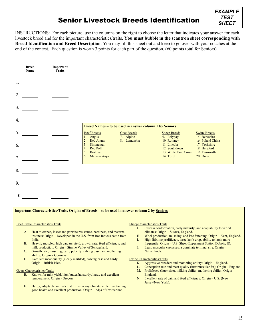### Senior Livestock Breeds Identification



INSTRUCTIONS: For each picture, use the columns on the right to choose the letter that indicates your answer for each livestock breed and for the important characteristics/traits. **You must bubble in the scantron sheet corresponding with Breed Identification and Breed Description**. You may fill this sheet out and keep to go over with your coaches at the end of the contest. Each question is worth 3 points for each part of the question. (60 points total for Seniors).

|     | <b>Breed</b><br>Name | Important<br><b>Traits</b> |                                                        |                                 |                                            |                                                   |
|-----|----------------------|----------------------------|--------------------------------------------------------|---------------------------------|--------------------------------------------|---------------------------------------------------|
| 1.  |                      |                            |                                                        |                                 |                                            |                                                   |
| 2.  |                      |                            |                                                        |                                 |                                            |                                                   |
| 3.  |                      |                            |                                                        |                                 |                                            |                                                   |
| 4.  |                      |                            | Breed Names - to be used in answer column 1 by Seniors |                                 |                                            |                                                   |
| 5.  |                      |                            | <b>Beef Breeds</b><br>1. Angus                         | <b>Goat Breeds</b><br>7. Alpine | <b>Sheep Breeds</b><br>9. Polypay          | <b>Swine Breeds</b><br>15. Berkshire              |
| 6.  |                      |                            | 2. Red Angus<br>Simmental<br>3.<br>Red Poll<br>4.      | 8. Lamancha                     | 10. Romney<br>11. Lincoln<br>12. Southdown | 16. Poland China<br>17. Yorkshire<br>18. Hereford |
| 7.  |                      |                            | <b>Brahman</b><br>5.<br>Maine - Anjou<br>6.            |                                 | 13. White Face Cross<br>14. Texel          | 19. Tamworth<br>20. Duroc                         |
| 8.  |                      |                            |                                                        |                                 |                                            |                                                   |
| 9.  |                      |                            |                                                        |                                 |                                            |                                                   |
| 10. |                      |                            |                                                        |                                 |                                            |                                                   |

#### **Important Characteristics/Traits Origins of Breeds – to be used in answer column 2 by Seniors**

#### Beef Cattle Characteristics/Traits

- A. Heat tolerance, insect and parasite resistance, hardiness, and maternal instincts; Origin – Developed in the U.S. from Bos Indicus cattle from India.
- B. Heavily muscled, high carcass yield, growth rate, feed efficiency, and milk production; Origin – Simme Valley of Switzerland.
- C. Growth rate, muscling, early puberty, calving ease, and mothering ability; Origin – Germany.
- D. Excellent meat quality (nicely marbled), calving ease and hardy; Origin – British Isles.

#### Goats Characteristics/Traits

- E. Known for milk yield, high butterfat, sturdy, hardy and excellent temperament; Origin - Oregon.
- F. Hardy, adaptable animals that thrive in any climate while maintaining good health and excellent production; Origin – Alps of Switzerland.

#### Sheep Characteristics/Traits

- G. Carcass conformation, early maturity, and adaptability to varied climates; Origin – Sussex, England.
- H. Wool production, muscling, and late fattening; Origin Kent, England. I. High lifetime prolificacy, large lamb crop, ability to lamb more
- frequently; Origin U.S. Sheep Experiment Station Dubois, ID. J. Lean, muscular carcasses, a dominate terminal sire; Origin – Netherlands.

#### Swine Characteristics/Traits

- K. Aggressive breeders and mothering ability; Origin England.
- L. Conception rate and meat quality (intramuscular fat); Origin England.
- M. Prolificacy (litter size), milking ability, mothering ability; Origin England.
- N. Excellent rate of gain and feed efficiency; Origin U.S. (New Jersey/New York).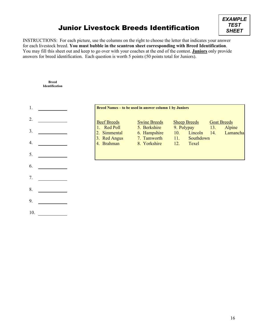### Junior Livestock Breeds Identification



INSTRUCTIONS: For each picture, use the columns on the right to choose the letter that indicates your answer for each livestock breed. **You must bubble in the scantron sheet corresponding with Breed Identification**. You may fill this sheet out and keep to go over with your coaches at the end of the contest. **Juniors** only provide answers for breed identification. Each question is worth 5 points (50 points total for Juniors).



**Breed Identification**

#### **Breed Names – to be used in answer column 1 by Juniors**

- Swine Breeds 5. Berkshire 6. Hampshire 7. Tamworth
- 8. Yorkshire
- Sheep Breeds 9. Polypay 10. Lincoln 11. Southdown
	- Goat Breeds 13. Alpine
	- 14. Lamancha
- 12. Texel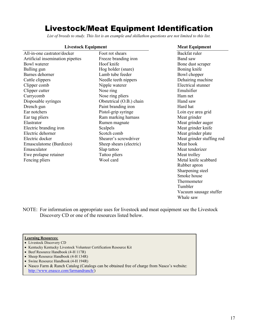### Livestock/Meat Equipment Identification

*List of breeds to study. This list is an example and skillathon questions are not limited to this list.*

Foot rot shears

#### **Livestock Equipment Meat Equipment**

- All-in-one castrator/docker Artificial insemination pipettes Bowl waterer Balling gun Barnes dehorner Cattle clippers Clipper comb Clipper cutter Currycomb Disposable syringes Drench gun Ear notchers Ear tag pliers Elastrator Electric branding iron Electric dehorner Electric docker Emasculatome (Burdizzo) Emasculator Ewe prolapse retainer Fencing pliers
- Freeze branding iron Hoof knife Hog holder (snare) Lamb tube feeder Needle teeth nippers Nipple waterer Nose ring Nose ring pliers Obstetrical (O.B.) chain Paint branding iron Pistol-grip syringe Ram marking harnass Rumen magnate Scalpels Scotch comb Shearer's screwdriver Sheep shears (electric) Slap tattoo Tattoo pliers Wool card

Backfat ruler Band saw Bone dust scraper Boning knife Bowl chopper Dehairing machine Electrical stunner Emulsifier Ham net Hand saw Hard hat Loin eye area grid Meat grinder Meat grinder auger Meat grinder knife Meat grinder plate Meat grinder stuffing rod Meat hook Meat tenderizer Meat trolley Metal knife scabbard Rubber apron Sharpening steel Smoke house Thermometer Tumbler Vacuum sausage stuffer Whale saw

NOTE: For information on appropriate uses for livestock and meat equipment see the Livestock Discovery CD or one of the resources listed below.

- Livestock Discovery CD
- Kentucky Kentucky Livestock Volunteer Certification Resource Kit
- Beef Resource Handbook (4-H 117R)
- Sheep Resource Handbook (4-H 134R)
- Swine Resource Handbook (4-H 194R)
- Nasco Farm & Ranch Catalog (Catalogs can be obtained free of charge from Nasco's website: [http://www.enasco.com/farmandranch/\)](http://www.enasco.com/farmandranch/)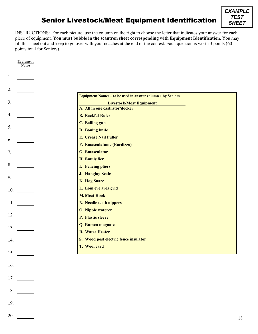### Senior Livestock/Meat Equipment Identification

INSTRUCTIONS: For each picture, use the column on the right to choose the letter that indicates your answer for each piece of equipment. **You must bubble in the scantron sheet corresponding with Equipment Identification**. You may fill this sheet out and keep to go over with your coaches at the end of the contest. Each question is worth 3 points (60 points total for Seniors).

| <b>Equipment</b><br>Name |                                                            |  |
|--------------------------|------------------------------------------------------------|--|
|                          |                                                            |  |
| 1.                       |                                                            |  |
| 2.                       |                                                            |  |
|                          | Equipment Names - to be used in answer column 1 by Seniors |  |
| 3.                       | <b>Livestock/Meat Equipment</b>                            |  |
|                          | A. All in one castrator/docker                             |  |
| 4.                       | <b>B.</b> Backfat Ruler                                    |  |
| 5.                       | <b>C. Balling gun</b>                                      |  |
|                          | D. Boning knife                                            |  |
| 6.                       | <b>E. Crease Nail Puller</b>                               |  |
|                          | F. Emasculatome (Burdizzo)                                 |  |
| 7.                       | <b>G. Emasculator</b>                                      |  |
|                          | <b>H. Emulsifier</b>                                       |  |
| 8.                       | <b>I.</b> Fencing pliers                                   |  |
|                          | <b>J. Hanging Scale</b>                                    |  |
| 9.                       | <b>K. Hog Snare</b>                                        |  |
|                          | L. Loin eye area grid                                      |  |
|                          | <b>M. Meat Hook</b>                                        |  |
| 11.                      | N. Needle teeth nippers                                    |  |
|                          | <b>O. Nipple waterer</b>                                   |  |
| 12.                      | P. Plastic sleeve                                          |  |
| 13.                      | Q. Rumen magnate                                           |  |
|                          | <b>R. Water Heater</b>                                     |  |
| 14.                      | S. Wood post electric fence insulator                      |  |
|                          | T. Wool card                                               |  |
| 15.                      |                                                            |  |
|                          |                                                            |  |
| 16.                      |                                                            |  |
|                          |                                                            |  |

- 17.
- 
- 18.
- 19.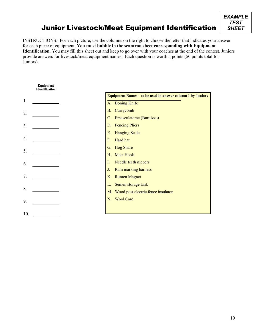### Junior Livestock/Meat Equipment Identification



INSTRUCTIONS: For each picture, use the columns on the right to choose the letter that indicates your answer for each piece of equipment. **You must bubble in the scantron sheet corresponding with Equipment Identification**. You may fill this sheet out and keep to go over with your coaches at the end of the contest. Juniors provide answers for livestock/meat equipment names. Each question is worth 5 points (50 points total for Juniors).

#### **Equipment Identification Equipment Names – to be used in answer column 1 by Juniors** 1. A. Boning Knife B. Currycomb 2. C. Emasculatome (Burdizzo) D. Fencing Pliers 3. E. Hanging Scale 4. F. Hard hat G. Hog Snare 5. H. Meat Hook I. Needle teeth nippers 6. J. Ram marking harness 7. K. Rumen Magnet L. Semen storage tank 8. M. Wood post electric fence insulator N. Wool Card9. 10.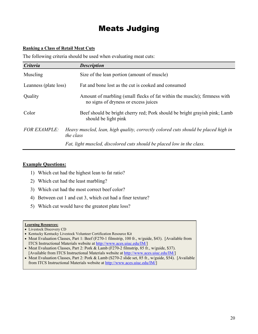### Meats Judging

#### **Ranking a Class of Retail Meat Cuts**

The following criteria should be used when evaluating meat cuts:

| <b>Criteria</b>       | <b>Description</b>                                                                                                |
|-----------------------|-------------------------------------------------------------------------------------------------------------------|
| Muscling              | Size of the lean portion (amount of muscle)                                                                       |
| Leanness (plate loss) | Fat and bone lost as the cut is cooked and consumed                                                               |
| Quality               | Amount of marbling (small flecks of fat within the muscle); firmness with<br>no signs of dryness or excess juices |
| Color                 | Beef should be bright cherry red; Pork should be bright grayish pink; Lamb<br>should be light pink                |
| <b>FOR EXAMPLE:</b>   | Heavy muscled, lean, high quality, correctly colored cuts should be placed high in<br>the class                   |
|                       | Fat, light muscled, discolored cuts should be placed low in the class.                                            |

#### **Example Questions:**

- 1) Which cut had the highest lean to fat ratio?
- 2) Which cut had the least marbling?
- 3) Which cut had the most correct beef color?
- 4) Between cut 1 and cut 3, which cut had a finer texture?
- 5) Which cut would have the greatest plate loss?

- Livestock Discovery CD
- Kentucky Kentucky Livestock Volunteer Certification Resource Kit
- Meat Evaluation Classes, Part 1: Beef (F270-1 filmstrip, 100 fr., w/guide, \$43). [Available from ITCS Instructional Materials website at [http://www.aces.uiuc.edu/IM/\]](http://www.aces.uiuc.edu/IM/)
- Meat Evaluation Classes, Part 2: Pork & Lamb (F270-2 filmstrip, 85 fr., w/guide, \$37). [Available from ITCS Instructional Materials website at [http://www.aces.uiuc.edu/IM/\]](http://www.aces.uiuc.edu/IM/)
- Meat Evaluation Classes, Part 2: Pork & Lamb (S270-2 slide set, 85 fr., w/guide, \$54). [Available from ITCS Instructional Materials website at [http://www.aces.uiuc.edu/IM/\]](http://www.aces.uiuc.edu/IM/)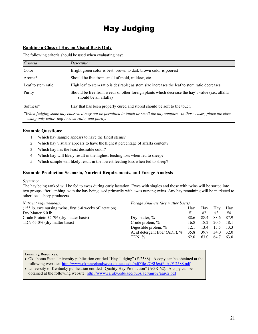## Hay Judging

#### **Ranking a Class of Hay on Visual Basis Only**

The following criteria should be used when evaluating hay:

| Criteria           | Description                                                                                                                |
|--------------------|----------------------------------------------------------------------------------------------------------------------------|
| Color              | Bright green color is best; brown to dark brown color is poorest                                                           |
| Aroma <sup>*</sup> | Should be free from smell of mold, mildew, etc.                                                                            |
| Leaf to stem ratio | High leaf to stem ratio is desirable; as stem size increases the leaf to stem ratio decreases                              |
| Purity             | Should be free from weeds or other foreign plants which decrease the hay's value (i.e., alfalfa<br>should be all alfalfa)  |
| Softness*          | Hay that has been properly cured and stored should be soft to the touch                                                    |
|                    | *When judging some hay classes, it may not be negmitted to touch or small the hay samples. In those cases, place the class |

*\*When judging some hay classes, it may not be permitted to touch or smell the hay samples. In those cases, place the class using only color, leaf to stem ratio, and purity.*

#### **Example Questions:**

- 1. Which hay sample appears to have the finest stems?
- 2. Which hay visually appears to have the highest percentage of alfalfa content?
- 3. Which hay has the least desirable color?
- 4. Which hay will likely result in the highest feeding loss when fed to sheep?
- 5. Which sample will likely result in the lowest feeding loss when fed to sheep?

#### **Example Production Scenario, Nutrient Requirements, and Forage Analysis**

#### *Scenario:*

The hay being ranked will be fed to ewes during early lactation. Ewes with singles and those with twins will be sorted into two groups after lambing, with the hay being used primarily with ewes nursing twins. Any hay remaining will be marketed to other local sheep producers.

| Nutrient requirements:                                    | Forage Analysis (dry matter basis) |      |      |      |       |
|-----------------------------------------------------------|------------------------------------|------|------|------|-------|
| (155 lb. ewe nursing twins, first 6-8 weeks of lactation) |                                    | Hav  | Hay  | Hav  | Hay   |
| Dry Matter 6.0 lb.                                        |                                    | #1   | #2   | #3   | #4    |
| Crude Protein 15.0% (dry matter basis)                    | Dry matter, $\%$                   | 88.6 | 88.4 | 88.6 | 87.9  |
| TDN 65.0% (dry matter basis)                              | Crude protein, %                   | 16.8 | 18.2 | 20.5 | -18.1 |
|                                                           | Digestible protein, %              | 12.1 | 13.4 | 15.5 | 13.3  |
|                                                           | Acid detergent fiber $(ADF)$ , %   | 35.8 | 39.7 | 34.0 | 32.0  |
|                                                           | TDN, $%$                           | 62.0 | 63.0 | 64.7 | 63.0  |
|                                                           |                                    |      |      |      |       |

- Oklahoma State University publication entitled "Hay Judging" (F-2588). A copy can be obtained at the following website: <http://www.okrangelandswest.okstate.edu/pdfFiles/OSUextPubs/F-2588.pdf>
- University of Kentucky publication entitled "Quality Hay Production" (AGR-62). A copy can be obtained at the following website:<http://www.ca.uky.edu/agc/pubs/agr/agr62/agr62.pdf>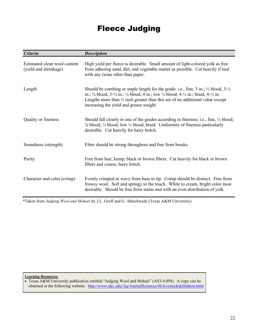### Fleece Judging

| <b>Criteria</b>                                       | <b>Description</b>                                                                                                                                                                                                                                                                                                                                                                                          |
|-------------------------------------------------------|-------------------------------------------------------------------------------------------------------------------------------------------------------------------------------------------------------------------------------------------------------------------------------------------------------------------------------------------------------------------------------------------------------------|
| Estimated clean wool content<br>(yield and shrinkage) | High yield per fleece is desirable. Small amount of light-colored yolk as free<br>from adhering sand, dirt, and vegetable matter as possible. Cut heavily if tied<br>with any twine other than paper.                                                                                                                                                                                                       |
| Length                                                | Should be combing or staple length for the grade: i.e., fine, $3$ in.; $\frac{1}{2}$ blood, $3-\frac{1}{2}$<br>in.; $\frac{3}{8}$ blood, $3-\frac{3}{4}$ in.; $\frac{1}{4}$ blood, 4 in.; low $\frac{1}{4}$ blood, 4- $\frac{1}{4}$ in.; braid, 4- $\frac{1}{2}$ in.<br>Lengths more than $\frac{1}{2}$ inch greater than this are of no additional value except<br>increasing the yield and grease weight. |
| Quality or fineness                                   | Should fall clearly in one of the grades according to fineness; i.e., fine, $\frac{1}{2}$ blood;<br>3/8 blood; 1/4 blood; low 1/4 blood; braid. Uniformity of fineness particularly<br>desirable. Cut heavily for hairy britch.                                                                                                                                                                             |
| Soundness (strength)                                  | Fiber should be strong throughout and free from breaks.                                                                                                                                                                                                                                                                                                                                                     |
| Purity                                                | Free from hair, kemp, black or brown fibers. Cut heavily for black or brown<br>fibers and coarse, hairy britch.                                                                                                                                                                                                                                                                                             |
| Character and color (crimp)                           | Evenly crimped or wavy from base to tip. Crimp should be distinct. Free from<br>frowsy wool. Soft and springy to the touch. White to cream, bright color most<br>desirable. Should be free from stains and with an even distribution of yolk.                                                                                                                                                               |

\*Taken from *Judging Wool and Mohair* by J.L. Groff and G. Ahlschwede (Texas A&M University).

**Learning Resources:**

• Texas A&M University publication entitled "Judging Wool and Mohair" (AS3-4.058). A copy can be obtained at the following website: <http://www.uky.edu/Ag/AnimalSciences/4h/livestockskillathon.html>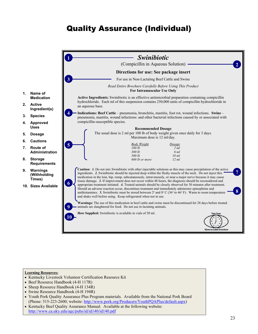## Quality Assurance (Individual)



#### **1. Name of Medication**

- **2. Active Ingredient(s)**
- **3. Species**
- **4. Approved Uses**
- **5. Dosage**
- **6. Cautions**
- **7. Route of Administration**
- **8. Storage Requirements**
- **9. Warnings (Withholding Times)**
- **10. Sizes Available**

- Kentucky Livestock Volunteer Certification Resource Kit
- Beef Resource Handbook (4-H 117R)
- Sheep Resource Handbook (4-H 134R)
- Swine Resource Handbook (4-H 194R)
- Youth Pork Quality Assurance Plus Program materials. Available from the National Pork Board (Phone: 515-223-2600; website: [http://www.pork.org/Producers/YouthPQAPlus/default.aspx\)](http://www.pork.org/Producers/YouthPQAPlus/default.aspx)
- Kentucky Beef Quality Assurance Manual. Available at the following website: <http://www.ca.uky.edu/agc/pubs/id/id140/id140.pdf>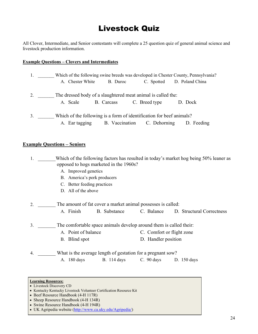### Livestock Quiz

All Clover, Intermediate, and Senior contestants will complete a 25 question quiz of general animal science and livestock production information.

#### **Example Questions – Clovers and Intermediates**

| 1. |                  |                                                                      |               | Which of the following swine breeds was developed in Chester County, Pennsylvania? |
|----|------------------|----------------------------------------------------------------------|---------------|------------------------------------------------------------------------------------|
|    | A. Chester White | B. Duroc                                                             |               | C. Spotted D. Poland China                                                         |
| 2. | A. Scale         | The dressed body of a slaughtered meat animal is called the:         | C. Breed type |                                                                                    |
|    |                  | B. Carcass                                                           |               | D. Dock                                                                            |
| 3. |                  | Which of the following is a form of identification for beef animals? |               |                                                                                    |
|    | A. Ear tagging   | B. Vaccination C. Dehorning                                          |               | D. Feeding                                                                         |

#### **Example Questions – Seniors**

1. Which of the following factors has resulted in today's market hog being 50% leaner as opposed to hogs marketed in the 1960s?

- A. Improved genetics
- B. America's pork producers
- C. Better feeding practices
- D. All of the above

2. The amount of fat cover a market animal possesses is called:

A. Finish B. Substance C. Balance D. Structural Correctness

3. The comfortable space animals develop around them is called their:

- A. Point of balance C. Comfort or flight zone
	- B. Blind spot D. Handler position

4. What is the average length of gestation for a pregnant sow? A. 180 days B. 114 days C. 90 days D. 150 days

- Beef Resource Handbook (4-H 117R)
- Sheep Resource Handbook (4-H 134R)
- Swine Resource Handbook (4-H 194R)
- UK Agripedia website [\(http://www.ca.uky.edu/Agripedia/\)](http://www.ca.uky.edu/Agripedia/)

<sup>•</sup> Livestock Discovery CD

<sup>•</sup> Kentucky Kentucky Livestock Volunteer Certification Resource Kit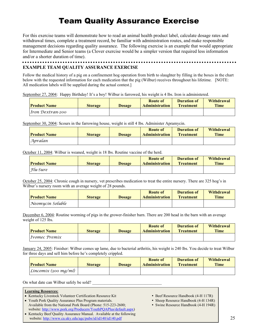### Team Quality Assurance Exercise

For this exercise teams will demonstrate how to read an animal health product label, calculate dosage rates and withdrawal times, complete a treatment record, be familiar with administration routes, and make responsible management decisions regarding quality assurance. The following exercise is an example that would appropriate for Intermediate and Senior teams (a Clover exercise would be a simpler version that required less information and/or a shorter duration of time).

#### **EXAMPLE TEAM QUALITY ASSURANCE EXERCISE**

Follow the medical history of a pig on a confinement hog operation from birth to slaughter by filling in the boxes in the chart below with the requested information for each medication that the pig (Wilbur) receives throughout his lifetime. [NOTE: All medication labels will be supplied during the actual contest.]

September 27, 2004: Happy Birthday! It's a boy! Wilbur is farrowed, his weight is 4 lbs. Iron is administered.

| <b>Product Name</b> | <b>Storage</b> | <b>Dosage</b> | <b>Route of</b><br><b>Administration</b> | Duration of<br><b>Treatment</b> | Withdrawal<br>Time |
|---------------------|----------------|---------------|------------------------------------------|---------------------------------|--------------------|
| Iron Dextran-200    |                |               |                                          |                                 |                    |

September 30, 2004: Scours in the farrowing house, weight is still 4 lbs. Administer Apramycin.

| <b>Product Name</b> | <b>Storage</b> | <b>Dosage</b> | <b>Route of</b><br><b>Administration</b> | Duration of<br><b>Treatment</b> | <b>Withdrawal</b><br><b>Time</b> |
|---------------------|----------------|---------------|------------------------------------------|---------------------------------|----------------------------------|
| Apralan             |                |               |                                          |                                 |                                  |

October 11, 2004: Wilbur is weaned, weight is 18 lbs. Routine vaccine of the herd.

| <b>Product Name</b> | <b>Storage</b> | <b>Dosage</b> | <b>Route of</b><br><b>Administration</b> | Duration of<br><b>Treatment</b> | Withdrawal<br><b>Time</b> |
|---------------------|----------------|---------------|------------------------------------------|---------------------------------|---------------------------|
| <i>Flu-Sure</i>     |                |               |                                          |                                 |                           |

October 25, 2004: Chronic cough in nursery, vet prescribes medication to treat the entire nursery. There are 325 hog's in Wilbur's nursery room with an average weight of 28 pounds.

| <b>Product Name</b> | Storage | Dosage | <b>Route of</b><br><b>Administration</b> | Duration of<br><b>Treatment</b> | <b>Withdrawal</b><br><b>Time</b> |
|---------------------|---------|--------|------------------------------------------|---------------------------------|----------------------------------|
| Neomycín Soluble    |         |        |                                          |                                 |                                  |

December 6, 2004: Routine worming of pigs in the grower-finisher barn. There are 200 head in the barn with an average weight of 125 lbs.

| <b>Product Name</b> | <b>Storage</b> | <b>Dosage</b> | Route of<br><b>Administration</b> | Duration of<br><b>Treatment</b> | Withdrawal<br><b>Time</b> |
|---------------------|----------------|---------------|-----------------------------------|---------------------------------|---------------------------|
| Ivomec Premix       |                |               |                                   |                                 |                           |

January 24, 2005: Finisher: Wilbur comes up lame, due to bacterial arthritis, his weight is 240 lbs. You decide to treat Wilbur for three days and sell him before he's completely crippled.

| <b>Product Name</b>     | <b>Storage</b> | <b>Dosage</b> | <b>Route of</b><br><b>Administration</b> | Duration of<br><b>Treatment</b> | Withdrawal<br><b>Time</b> |
|-------------------------|----------------|---------------|------------------------------------------|---------------------------------|---------------------------|
| $L$ incomix (300 mg/ml) |                |               |                                          |                                 |                           |

On what date can Wilbur safely be sold?

- Kentucky Livestock Volunteer Certification Resource Kit Beef Resource Handbook (4-H 117R)
- Youth Pork Quality Assurance Plus Program materials. Sheep Resource Handbook (4-H 134R) Available from the National Pork Board (Phone: 515-223-2600; • Swine Resource Handbook (4-H 194R) website: [http://www.pork.org/Producers/YouthPQAPlus/default.aspx\)](http://www.pork.org/Producers/YouthPQAPlus/default.aspx)
- Kentucky Beef Quality Assurance Manual. Available at the following website:<http://www.ca.uky.edu/agc/pubs/id/id140/id140.pdf>
- 
- -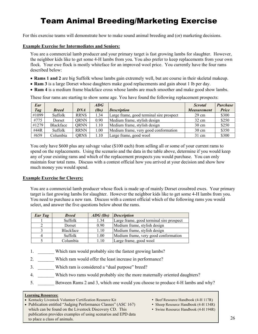## Team Animal Breeding/Marketing Exercise

For this exercise teams will demonstrate how to make sound animal breeding and (or) marketing decisions.

#### **Example Exercise for Intermediates and Seniors:**

You are a commercial lamb producer and your primary target is fast growing lambs for slaughter. However, the neighbor kids like to get some 4-H lambs from you. You also prefer to keep replacements from your own flock. Your ewe flock is mostly whiteface for an improved wool price. You currently have the four rams described below:

- **Rams 1 and 2** are big Suffolk whose lambs gain extremely well, but are course in their skeletal makeup.
- **Ram 3** is a large Dorset whose daughters make good replacements and gain about 1 lb per day.
- **Ram 4** is a medium frame blackface cross whose lambs are much smoother and make good show lambs.

These four rams are starting to show some age. You have found the following replacement prospects:

| Ear   |              |             | $\overline{ADG}$ |                                          | <b>Scrotal</b>     | <b>Purchase</b> |
|-------|--------------|-------------|------------------|------------------------------------------|--------------------|-----------------|
| Tag   | <b>Breed</b> | <b>DNA</b>  | (lbs)            | <i><b>Description</b></i>                | <b>Measurement</b> | <b>Price</b>    |
| #1099 | Suffolk      | <b>RRNS</b> | 1.34             | Large frame, good terminal sire prospect | $29 \text{ cm}$    | \$300           |
| #775  | Dorset       | ORNN        | 0.90             | Medium frame, stylish design             | $32 \text{ cm}$    | \$250           |
| #1279 | Blackface    | ORNN        | 1.10             | Medium frame, stylish design             | $30 \text{ cm}$    | \$250           |
| #44R  | Suffolk      | <b>RRNN</b> | 1.00             | Medium frame, very good conformation     | $30 \text{ cm}$    | \$350           |
| #659  | Columbia     | <b>QRNS</b> | 1.10             | Large frame, good wool                   | $31 \text{ cm}$    | \$300           |

You only have \$600 plus any salvage value (\$100 each) from selling all or some of your current rams to spend on the replacements. Using the scenario and the data in the table above, determine if you would keep any of your existing rams and which of the replacement prospects you would purchase. You can only maintain four total rams. Discuss with a contest official how you arrived at your decision and show how much money you would spend.

#### **Example Exercise for Clovers:**

You are a commercial lamb producer whose flock is made up of mainly Dorset crossbred ewes. Your primary target is fast growing lambs for slaughter. However the neighbor kids like to get some 4-H lambs from you. You need to purchase a new ram. Discuss with a contest official which of the following rams you would select, and answer the five questions below about the rams.

| Ear Tag | <b>Breed</b>     | $\triangle$ <i>ADG</i> ( <i>lbs</i> ) | <b>Description</b>                       |  |
|---------|------------------|---------------------------------------|------------------------------------------|--|
|         | Suffolk          | 1.34                                  | Large frame, good terminal sire prospect |  |
|         | Dorset           | 0.90                                  | Medium frame, stylish design             |  |
|         | <b>Blackface</b> | 1.10                                  | Medium frame, stylish design             |  |
|         | Suffolk          | 1.00                                  | Medium frame, very good conformation     |  |
|         | Columbia         | 1.10                                  | Large frame, good wool                   |  |

- 1. Which ram would probably sire the fastest growing lambs?
- 2. \_\_\_\_\_\_\_\_\_ Which ram would offer the least increase in performance?
- 3. \_\_\_\_\_\_\_ Which ram is considered a "dual purpose" breed?
- 4. Which two rams would probably sire the more maternally oriented daughters?
- 5. Between Rams 2 and 3, which one would you choose to produce 4-H lambs and why?

- Kentucky Livestock Volunteer Certification Resource Kit Beef Resource Handbook (4-H 117R)
- Publication entitled "Judging Performance Classes" (ASC 167) Sheep Resource Handbook (4-H 134R) which can be found on the Livestock Discovery CD. This **Same Resource Handbook (4-H 194R)** Swine Resource Handbook (4-H 194R) publication provides examples of using scenarios and EPD data to place a class of animals.
- 
- -